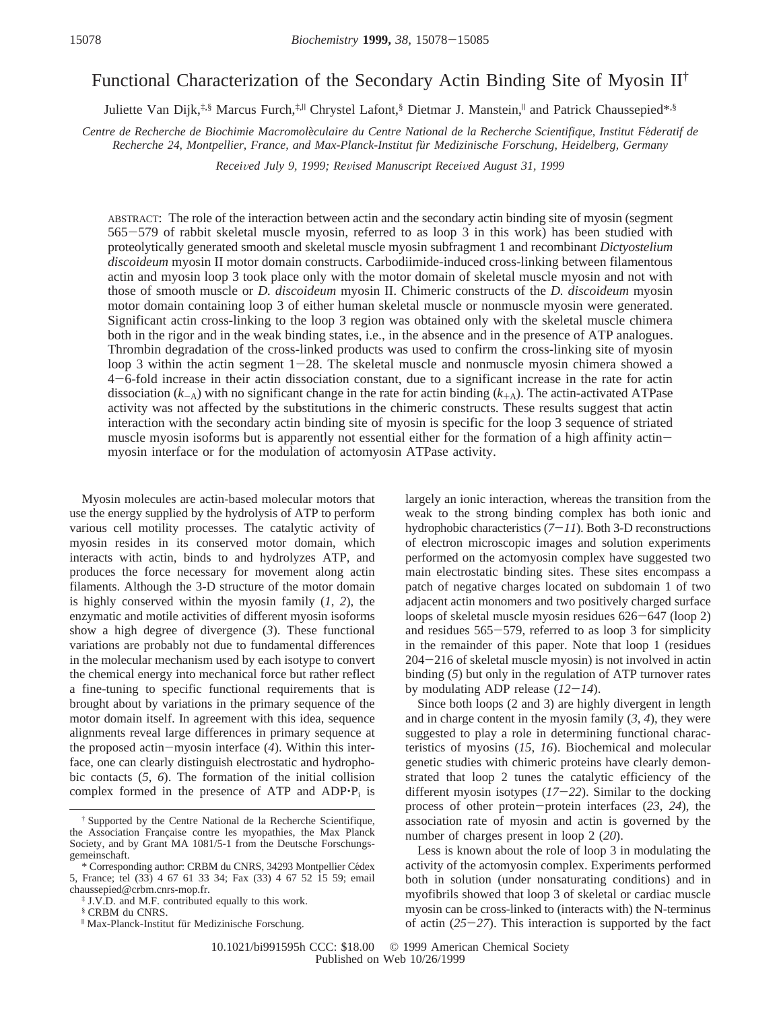# Functional Characterization of the Secondary Actin Binding Site of Myosin II†

Juliette Van Dijk,<sup>‡,§</sup> Marcus Furch,<sup>‡,||</sup> Chrystel Lafont,§ Dietmar J. Manstein,<sup>||</sup> and Patrick Chaussepied\*,§

*Centre de Recherche de Biochimie Macromole*`*culaire du Centre National de la Recherche Scientifique, Institut Fe*´*deratif de Recherche 24, Montpellier, France, and Max-Planck-Institut fu*¨*r Medizinische Forschung, Heidelberg, Germany*

*Recei*V*ed July 9, 1999; Re*V*ised Manuscript Recei*V*ed August 31, 1999*

ABSTRACT: The role of the interaction between actin and the secondary actin binding site of myosin (segment <sup>565</sup>-579 of rabbit skeletal muscle myosin, referred to as loop 3 in this work) has been studied with proteolytically generated smooth and skeletal muscle myosin subfragment 1 and recombinant *Dictyostelium discoideum* myosin II motor domain constructs. Carbodiimide-induced cross-linking between filamentous actin and myosin loop 3 took place only with the motor domain of skeletal muscle myosin and not with those of smooth muscle or *D. discoideum* myosin II. Chimeric constructs of the *D. discoideum* myosin motor domain containing loop 3 of either human skeletal muscle or nonmuscle myosin were generated. Significant actin cross-linking to the loop 3 region was obtained only with the skeletal muscle chimera both in the rigor and in the weak binding states, i.e., in the absence and in the presence of ATP analogues. Thrombin degradation of the cross-linked products was used to confirm the cross-linking site of myosin loop 3 within the actin segment  $1-28$ . The skeletal muscle and nonmuscle myosin chimera showed a <sup>4</sup>-6-fold increase in their actin dissociation constant, due to a significant increase in the rate for actin dissociation  $(k_{-A})$  with no significant change in the rate for actin binding  $(k_{+A})$ . The actin-activated ATPase activity was not affected by the substitutions in the chimeric constructs. These results suggest that actin interaction with the secondary actin binding site of myosin is specific for the loop 3 sequence of striated muscle myosin isoforms but is apparently not essential either for the formation of a high affinity actinmyosin interface or for the modulation of actomyosin ATPase activity.

Myosin molecules are actin-based molecular motors that use the energy supplied by the hydrolysis of ATP to perform various cell motility processes. The catalytic activity of myosin resides in its conserved motor domain, which interacts with actin, binds to and hydrolyzes ATP, and produces the force necessary for movement along actin filaments. Although the 3-D structure of the motor domain is highly conserved within the myosin family (*1*, *2*), the enzymatic and motile activities of different myosin isoforms show a high degree of divergence (*3*). These functional variations are probably not due to fundamental differences in the molecular mechanism used by each isotype to convert the chemical energy into mechanical force but rather reflect a fine-tuning to specific functional requirements that is brought about by variations in the primary sequence of the motor domain itself. In agreement with this idea, sequence alignments reveal large differences in primary sequence at the proposed actin-myosin interface (*4*). Within this interface, one can clearly distinguish electrostatic and hydrophobic contacts (*5*, *6*). The formation of the initial collision complex formed in the presence of ATP and ADP<sup>+</sup>P<sub>i</sub> is

§ CRBM du CNRS.

largely an ionic interaction, whereas the transition from the weak to the strong binding complex has both ionic and hydrophobic characteristics (*7*-*11*). Both 3-D reconstructions of electron microscopic images and solution experiments performed on the actomyosin complex have suggested two main electrostatic binding sites. These sites encompass a patch of negative charges located on subdomain 1 of two adjacent actin monomers and two positively charged surface loops of skeletal muscle myosin residues 626-647 (loop 2) and residues 565-579, referred to as loop 3 for simplicity in the remainder of this paper. Note that loop 1 (residues <sup>204</sup>-216 of skeletal muscle myosin) is not involved in actin binding (*5*) but only in the regulation of ATP turnover rates by modulating ADP release (*12*-*14*).

Since both loops (2 and 3) are highly divergent in length and in charge content in the myosin family  $(3, 4)$ , they were suggested to play a role in determining functional characteristics of myosins (*15*, *16*). Biochemical and molecular genetic studies with chimeric proteins have clearly demonstrated that loop 2 tunes the catalytic efficiency of the different myosin isotypes (*17*-*22*). Similar to the docking process of other protein-protein interfaces (*23*, *<sup>24</sup>*), the association rate of myosin and actin is governed by the number of charges present in loop 2 (*20*).

Less is known about the role of loop 3 in modulating the activity of the actomyosin complex. Experiments performed both in solution (under nonsaturating conditions) and in myofibrils showed that loop 3 of skeletal or cardiac muscle myosin can be cross-linked to (interacts with) the N-terminus of actin (*25*-*27*). This interaction is supported by the fact

<sup>†</sup> Supported by the Centre National de la Recherche Scientifique, the Association Française contre les myopathies, the Max Planck Society, and by Grant MA 1081/5-1 from the Deutsche Forschungsgemeinschaft.

<sup>\*</sup> Corresponding author: CRBM du CNRS, 34293 Montpellier Cédex 5, France; tel (33) 4 67 61 33 34; Fax (33) 4 67 52 15 59; email chaussepied@crbm.cnrs-mop.fr.

<sup>‡</sup> J.V.D. and M.F. contributed equally to this work.

<sup>|</sup> Max-Planck-Institut fu¨r Medizinische Forschung.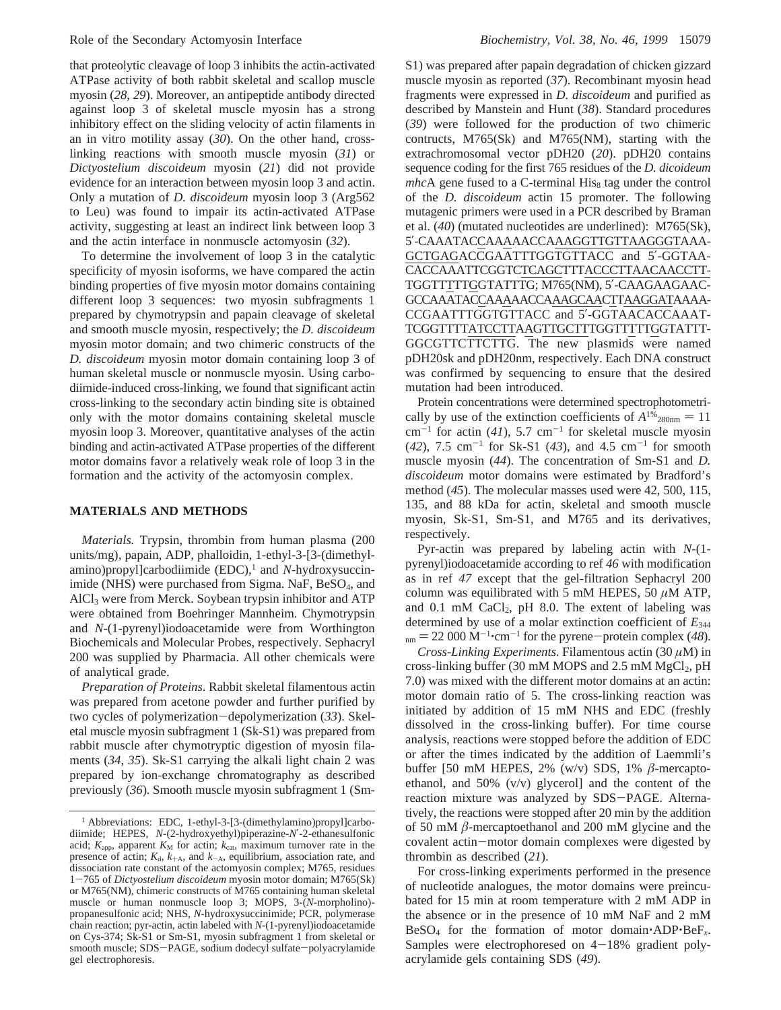that proteolytic cleavage of loop 3 inhibits the actin-activated ATPase activity of both rabbit skeletal and scallop muscle myosin (*28*, *29*). Moreover, an antipeptide antibody directed against loop 3 of skeletal muscle myosin has a strong inhibitory effect on the sliding velocity of actin filaments in an in vitro motility assay (*30*). On the other hand, crosslinking reactions with smooth muscle myosin (*31*) or *Dictyostelium discoideum* myosin (*21*) did not provide evidence for an interaction between myosin loop 3 and actin. Only a mutation of *D. discoideum* myosin loop 3 (Arg562 to Leu) was found to impair its actin-activated ATPase activity, suggesting at least an indirect link between loop 3 and the actin interface in nonmuscle actomyosin (*32*).

To determine the involvement of loop 3 in the catalytic specificity of myosin isoforms, we have compared the actin binding properties of five myosin motor domains containing different loop 3 sequences: two myosin subfragments 1 prepared by chymotrypsin and papain cleavage of skeletal and smooth muscle myosin, respectively; the *D. discoideum* myosin motor domain; and two chimeric constructs of the *D. discoideum* myosin motor domain containing loop 3 of human skeletal muscle or nonmuscle myosin. Using carbodiimide-induced cross-linking, we found that significant actin cross-linking to the secondary actin binding site is obtained only with the motor domains containing skeletal muscle myosin loop 3. Moreover, quantitative analyses of the actin binding and actin-activated ATPase properties of the different motor domains favor a relatively weak role of loop 3 in the formation and the activity of the actomyosin complex.

## **MATERIALS AND METHODS**

*Materials.* Trypsin, thrombin from human plasma (200 units/mg), papain, ADP, phalloidin, 1-ethyl-3-[3-(dimethylamino)propyl]carbodiimide (EDC),<sup>1</sup> and *N*-hydroxysuccinimide (NHS) were purchased from Sigma. NaF, BeSO<sub>4</sub>, and  $AICI<sub>3</sub>$  were from Merck. Soybean trypsin inhibitor and  $ATP$ were obtained from Boehringer Mannheim. Chymotrypsin and *N*-(1-pyrenyl)iodoacetamide were from Worthington Biochemicals and Molecular Probes, respectively. Sephacryl 200 was supplied by Pharmacia. All other chemicals were of analytical grade.

*Preparation of Proteins*. Rabbit skeletal filamentous actin was prepared from acetone powder and further purified by two cycles of polymerization-depolymerization (*33*). Skeletal muscle myosin subfragment 1 (Sk-S1) was prepared from rabbit muscle after chymotryptic digestion of myosin filaments (*34*, *35*). Sk-S1 carrying the alkali light chain 2 was prepared by ion-exchange chromatography as described previously (*36*). Smooth muscle myosin subfragment 1 (SmS1) was prepared after papain degradation of chicken gizzard muscle myosin as reported (*37*). Recombinant myosin head fragments were expressed in *D. discoideum* and purified as described by Manstein and Hunt (*38*). Standard procedures (*39*) were followed for the production of two chimeric contructs, M765(Sk) and M765(NM), starting with the extrachromosomal vector pDH20 (*20*). pDH20 contains sequence coding for the first 765 residues of the *D. dicoideum mhcA* gene fused to a C-terminal His<sub>8</sub> tag under the control of the *D. discoideum* actin 15 promoter. The following mutagenic primers were used in a PCR described by Braman et al. (*40*) (mutated nucleotides are underlined): M765(Sk), 5′-CAAATACCAAAAACCAAAGGTTGTTAAGGGTAAA-GCTGAGACCGAATTTGGTGTTACC and 5′-GGTAA-CACCAAATTCGGTCTCAGCTTTACCCTTAACAACCTT-TGGTTTTTGGTATTTG; M765(NM), 5′-CAAGAAGAAC-GCCAAATACCAAAAACCAAAGCAACTTAAGGATAAAA-CCGAATTTGGTGTTACC and 5′-GGTAACACCAAAT-TCGGTTTTATCCTTAAGTTGCTTTGGTTTTTGGTATTT-GGCGTTCTTCTTG. The new plasmids were named pDH20sk and pDH20nm, respectively. Each DNA construct was confirmed by sequencing to ensure that the desired mutation had been introduced.

Protein concentrations were determined spectrophotometrically by use of the extinction coefficients of  $A^{1\%}_{280 \text{nm}} = 11$  $cm^{-1}$  for actin (41), 5.7  $cm^{-1}$  for skeletal muscle myosin  $(42)$ , 7.5 cm<sup>-1</sup> for Sk-S1  $(43)$ , and 4.5 cm<sup>-1</sup> for smooth muscle myosin (*44*). The concentration of Sm-S1 and *D. discoideum* motor domains were estimated by Bradford's method (*45*). The molecular masses used were 42, 500, 115, 135, and 88 kDa for actin, skeletal and smooth muscle myosin, Sk-S1, Sm-S1, and M765 and its derivatives, respectively.

Pyr-actin was prepared by labeling actin with *N*-(1 pyrenyl)iodoacetamide according to ref *46* with modification as in ref *47* except that the gel-filtration Sephacryl 200 column was equilibrated with 5 mM HEPES, 50  $\mu$ M ATP, and  $0.1 \text{ mM } CaCl<sub>2</sub>$ , pH 8.0. The extent of labeling was determined by use of a molar extinction coefficient of *E*<sup>344</sup>  $n_{\text{mm}} = 22\,000 \,\text{M}^{-1} \cdot \text{cm}^{-1}$  for the pyrene-protein complex (48).<br>Cross-Linking Experiments Filamentous actin (30  $\mu$ M) in

*Cross-Linking Experiments*. Filamentous actin (30 *µ*M) in cross-linking buffer (30 mM MOPS and  $2.5$  mM MgCl<sub>2</sub>, pH 7.0) was mixed with the different motor domains at an actin: motor domain ratio of 5. The cross-linking reaction was initiated by addition of 15 mM NHS and EDC (freshly dissolved in the cross-linking buffer). For time course analysis, reactions were stopped before the addition of EDC or after the times indicated by the addition of Laemmli's buffer [50 mM HEPES, 2% (w/v) SDS, 1% *â*-mercaptoethanol, and 50% (v/v) glycerol] and the content of the reaction mixture was analyzed by SDS-PAGE. Alternatively, the reactions were stopped after 20 min by the addition of 50 mM *â*-mercaptoethanol and 200 mM glycine and the covalent actin-motor domain complexes were digested by thrombin as described (*21*).

For cross-linking experiments performed in the presence of nucleotide analogues, the motor domains were preincubated for 15 min at room temperature with 2 mM ADP in the absence or in the presence of 10 mM NaF and 2 mM BeSO4 for the formation of motor domain'ADP'BeF*x*. Samples were electrophoresed on  $4-18%$  gradient polyacrylamide gels containing SDS (*49*).

<sup>&</sup>lt;sup>1</sup> Abbreviations: EDC, 1-ethyl-3-[3-(dimethylamino)propyl]carbodiimide; HEPES, *N*-(2-hydroxyethyl)piperazine-*N*′-2-ethanesulfonic acid;  $K_{\text{app}}$ , apparent  $K_{\text{M}}$  for actin;  $k_{\text{cat}}$ , maximum turnover rate in the presence of actin;  $K_d$ ,  $k_{+A}$ , and  $k_{-A}$ , equilibrium, association rate, and dissociation rate constant of the actomyosin complex; M765, residues <sup>1</sup>-765 of *Dictyostelium discoideum* myosin motor domain; M765(Sk) or M765(NM), chimeric constructs of M765 containing human skeletal muscle or human nonmuscle loop 3; MOPS, 3-(*N*-morpholino) propanesulfonic acid; NHS, *N*-hydroxysuccinimide; PCR, polymerase chain reaction; pyr-actin, actin labeled with *N*-(1-pyrenyl)iodoacetamide on Cys-374; Sk-S1 or Sm-S1, myosin subfragment 1 from skeletal or smooth muscle; SDS-PAGE, sodium dodecyl sulfate-polyacrylamide gel electrophoresis.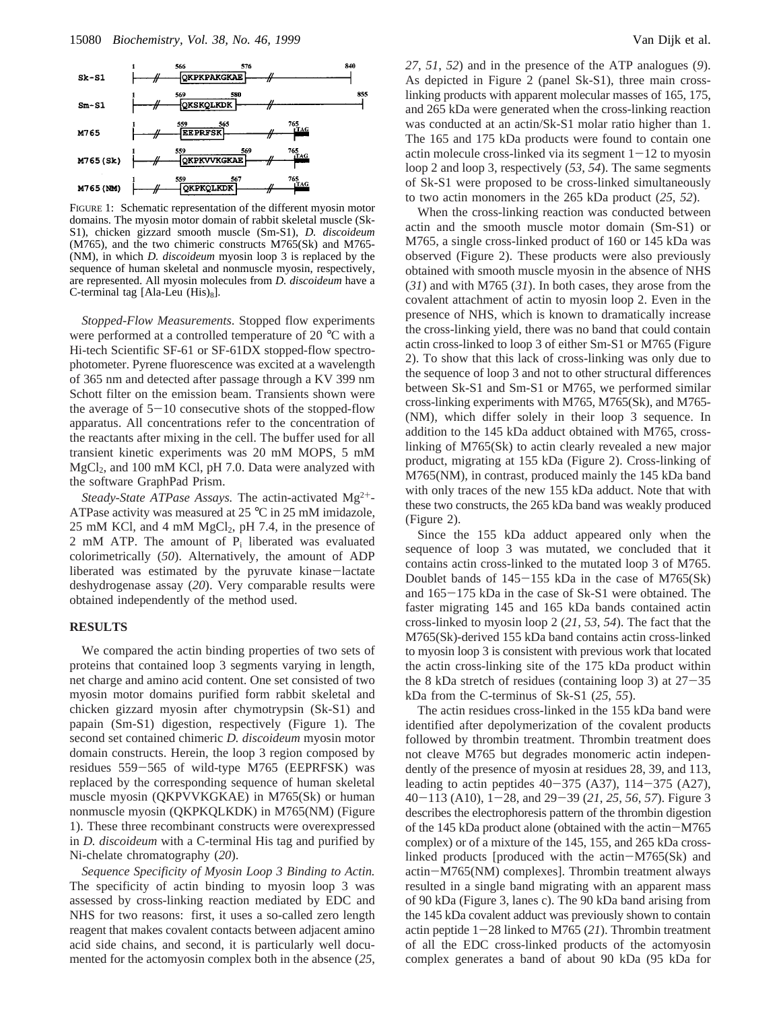

FIGURE 1: Schematic representation of the different myosin motor domains. The myosin motor domain of rabbit skeletal muscle (Sk-S1), chicken gizzard smooth muscle (Sm-S1), *D. discoideum* (M765), and the two chimeric constructs M765(Sk) and M765- (NM), in which *D. discoideum* myosin loop 3 is replaced by the sequence of human skeletal and nonmuscle myosin, respectively, are represented. All myosin molecules from *D. discoideum* have a C-terminal tag [Ala-Leu  $(His)_8$ ].

*Stopped-Flow Measurements*. Stopped flow experiments were performed at a controlled temperature of 20 °C with a Hi-tech Scientific SF-61 or SF-61DX stopped-flow spectrophotometer. Pyrene fluorescence was excited at a wavelength of 365 nm and detected after passage through a KV 399 nm Schott filter on the emission beam. Transients shown were the average of  $5-10$  consecutive shots of the stopped-flow apparatus. All concentrations refer to the concentration of the reactants after mixing in the cell. The buffer used for all transient kinetic experiments was 20 mM MOPS, 5 mM  $MgCl<sub>2</sub>$ , and 100 mM KCl, pH 7.0. Data were analyzed with the software GraphPad Prism.

*Steady-State ATPase Assays.* The actin-activated Mg<sup>2+</sup>-ATPase activity was measured at 25 °C in 25 mM imidazole,  $25 \text{ mM KCl}$ , and 4 mM MgCl<sub>2</sub>, pH 7.4, in the presence of 2 mM ATP. The amount of  $P_i$  liberated was evaluated colorimetrically (*50*). Alternatively, the amount of ADP liberated was estimated by the pyruvate kinase-lactate deshydrogenase assay (*20*). Very comparable results were obtained independently of the method used.

### **RESULTS**

We compared the actin binding properties of two sets of proteins that contained loop 3 segments varying in length, net charge and amino acid content. One set consisted of two myosin motor domains purified form rabbit skeletal and chicken gizzard myosin after chymotrypsin (Sk-S1) and papain (Sm-S1) digestion, respectively (Figure 1). The second set contained chimeric *D. discoideum* myosin motor domain constructs. Herein, the loop 3 region composed by residues 559-565 of wild-type M765 (EEPRFSK) was replaced by the corresponding sequence of human skeletal muscle myosin (QKPVVKGKAE) in M765(Sk) or human nonmuscle myosin (QKPKQLKDK) in M765(NM) (Figure 1). These three recombinant constructs were overexpressed in *D. discoideum* with a C-terminal His tag and purified by Ni-chelate chromatography (*20*).

*Sequence Specificity of Myosin Loop 3 Binding to Actin.* The specificity of actin binding to myosin loop 3 was assessed by cross-linking reaction mediated by EDC and NHS for two reasons: first, it uses a so-called zero length reagent that makes covalent contacts between adjacent amino acid side chains, and second, it is particularly well documented for the actomyosin complex both in the absence (*25*,

*27*, *51*, *52*) and in the presence of the ATP analogues (*9*). As depicted in Figure 2 (panel Sk-S1), three main crosslinking products with apparent molecular masses of 165, 175, and 265 kDa were generated when the cross-linking reaction was conducted at an actin/Sk-S1 molar ratio higher than 1. The 165 and 175 kDa products were found to contain one actin molecule cross-linked via its segment  $1-12$  to myosin loop 2 and loop 3, respectively (*53*, *54*). The same segments of Sk-S1 were proposed to be cross-linked simultaneously to two actin monomers in the 265 kDa product (*25*, *52*).

When the cross-linking reaction was conducted between actin and the smooth muscle motor domain (Sm-S1) or M765, a single cross-linked product of 160 or 145 kDa was observed (Figure 2). These products were also previously obtained with smooth muscle myosin in the absence of NHS (*31*) and with M765 (*31*). In both cases, they arose from the covalent attachment of actin to myosin loop 2. Even in the presence of NHS, which is known to dramatically increase the cross-linking yield, there was no band that could contain actin cross-linked to loop 3 of either Sm-S1 or M765 (Figure 2). To show that this lack of cross-linking was only due to the sequence of loop 3 and not to other structural differences between Sk-S1 and Sm-S1 or M765, we performed similar cross-linking experiments with M765, M765(Sk), and M765- (NM), which differ solely in their loop 3 sequence. In addition to the 145 kDa adduct obtained with M765, crosslinking of M765(Sk) to actin clearly revealed a new major product, migrating at 155 kDa (Figure 2). Cross-linking of M765(NM), in contrast, produced mainly the 145 kDa band with only traces of the new 155 kDa adduct. Note that with these two constructs, the 265 kDa band was weakly produced (Figure 2).

Since the 155 kDa adduct appeared only when the sequence of loop 3 was mutated, we concluded that it contains actin cross-linked to the mutated loop 3 of M765. Doublet bands of  $145-155$  kDa in the case of M765(Sk) and 165-175 kDa in the case of Sk-S1 were obtained. The faster migrating 145 and 165 kDa bands contained actin cross-linked to myosin loop 2 (*21*, *53*, *54*). The fact that the M765(Sk)-derived 155 kDa band contains actin cross-linked to myosin loop 3 is consistent with previous work that located the actin cross-linking site of the 175 kDa product within the 8 kDa stretch of residues (containing loop 3) at  $27-35$ kDa from the C-terminus of Sk-S1 (*25*, *55*).

The actin residues cross-linked in the 155 kDa band were identified after depolymerization of the covalent products followed by thrombin treatment. Thrombin treatment does not cleave M765 but degrades monomeric actin independently of the presence of myosin at residues 28, 39, and 113, leading to actin peptides  $40-375$  (A37),  $114-375$  (A27), <sup>40</sup>-113 (A10), 1-28, and 29-39 (*21*, *<sup>25</sup>*, *<sup>56</sup>*, *<sup>57</sup>*). Figure 3 describes the electrophoresis pattern of the thrombin digestion of the 145 kDa product alone (obtained with the actin-M765 complex) or of a mixture of the 145, 155, and 265 kDa crosslinked products [produced with the actin-M765(Sk) and actin-M765(NM) complexes]. Thrombin treatment always resulted in a single band migrating with an apparent mass of 90 kDa (Figure 3, lanes c). The 90 kDa band arising from the 145 kDa covalent adduct was previously shown to contain actin peptide 1-28 linked to M765 (*21*). Thrombin treatment of all the EDC cross-linked products of the actomyosin complex generates a band of about 90 kDa (95 kDa for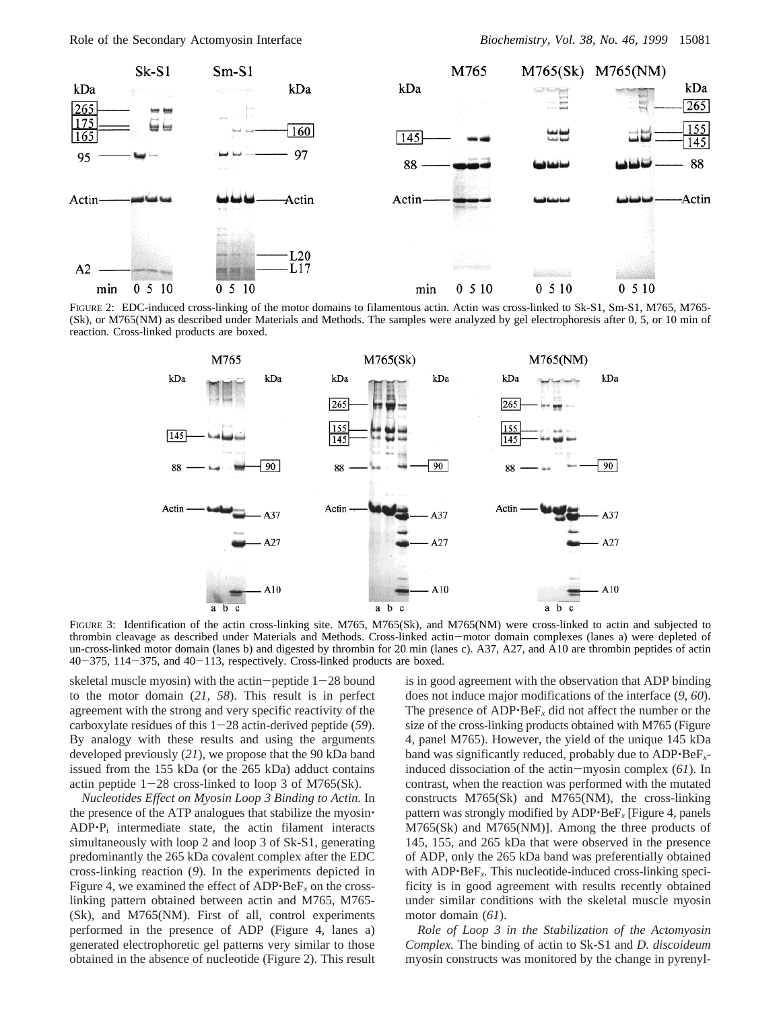

FIGURE 2: EDC-induced cross-linking of the motor domains to filamentous actin. Actin was cross-linked to Sk-S1, Sm-S1, M765, M765- (Sk), or M765(NM) as described under Materials and Methods. The samples were analyzed by gel electrophoresis after 0, 5, or 10 min of reaction. Cross-linked products are boxed.



FIGURE 3: Identification of the actin cross-linking site. M765, M765(Sk), and M765(NM) were cross-linked to actin and subjected to thrombin cleavage as described under Materials and Methods. Cross-linked actin-motor domain complexes (lanes a) were depleted of un-cross-linked motor domain (lanes b) and digested by thrombin for 20 min (lanes c). A37, A27, and A10 are thrombin peptides of actin  $40-375$ ,  $114-375$ , and  $40-113$ , respectively. Cross-linked products are boxed.

skeletal muscle myosin) with the actin-peptide  $1-28$  bound to the motor domain (*21*, *58*). This result is in perfect agreement with the strong and very specific reactivity of the carboxylate residues of this 1-28 actin-derived peptide (*59*). By analogy with these results and using the arguments developed previously (*21*), we propose that the 90 kDa band issued from the 155 kDa (or the 265 kDa) adduct contains actin peptide  $1-28$  cross-linked to loop 3 of M765(Sk).

*Nucleotides Effect on Myosin Loop 3 Binding to Actin.* In the presence of the ATP analogues that stabilize the myosin'  $ADP \cdot P_i$  intermediate state, the actin filament interacts simultaneously with loop 2 and loop 3 of Sk-S1, generating predominantly the 265 kDa covalent complex after the EDC cross-linking reaction (*9*). In the experiments depicted in Figure 4, we examined the effect of  $ADP \cdot BeF_x$  on the crosslinking pattern obtained between actin and M765, M765- (Sk), and M765(NM). First of all, control experiments performed in the presence of ADP (Figure 4, lanes a) generated electrophoretic gel patterns very similar to those obtained in the absence of nucleotide (Figure 2). This result is in good agreement with the observation that ADP binding does not induce major modifications of the interface (*9*, *60*). The presence of ADP'BeF*<sup>x</sup>* did not affect the number or the size of the cross-linking products obtained with M765 (Figure 4, panel M765). However, the yield of the unique 145 kDa band was significantly reduced, probably due to ADP'BeF*x*induced dissociation of the actin-myosin complex (*61*). In contrast, when the reaction was performed with the mutated constructs M765(Sk) and M765(NM), the cross-linking pattern was strongly modified by ADP'BeF*<sup>x</sup>* [Figure 4, panels M765(Sk) and M765(NM)]. Among the three products of 145, 155, and 265 kDa that were observed in the presence of ADP, only the 265 kDa band was preferentially obtained with ADP<sup> $\cdot$ BeF<sub>x</sub>. This nucleotide-induced cross-linking speci-</sup> ficity is in good agreement with results recently obtained under similar conditions with the skeletal muscle myosin motor domain (*61*).

*Role of Loop 3 in the Stabilization of the Actomyosin Complex.* The binding of actin to Sk-S1 and *D. discoideum* myosin constructs was monitored by the change in pyrenyl-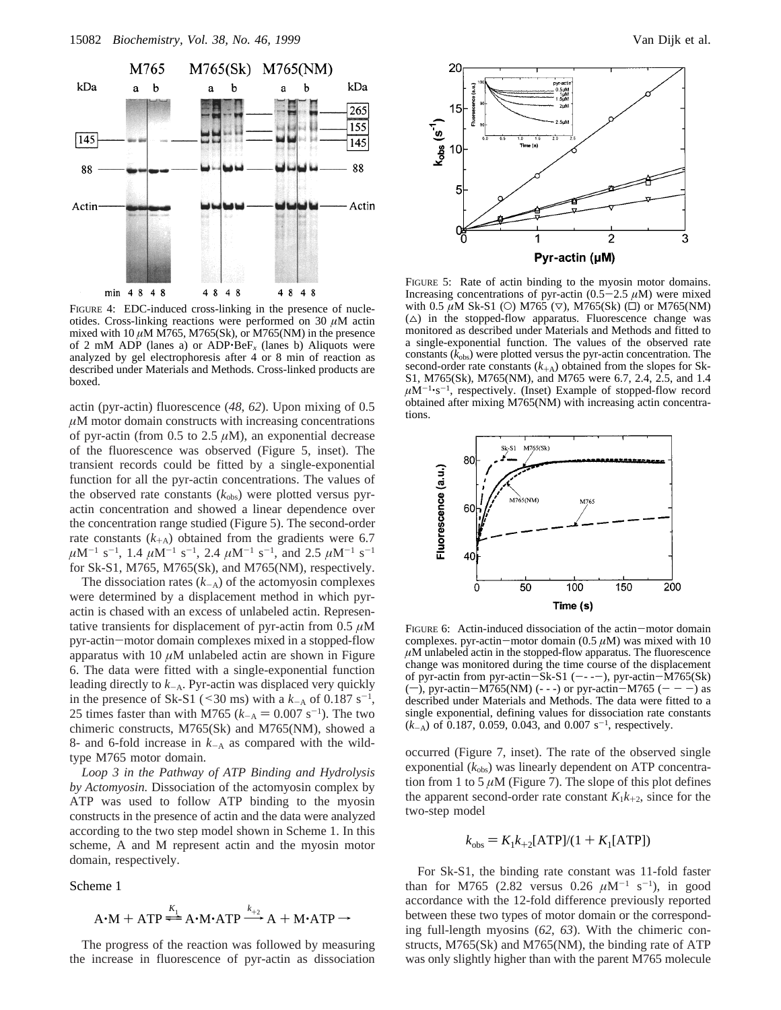

FIGURE 4: EDC-induced cross-linking in the presence of nucleotides. Cross-linking reactions were performed on 30 *µ*M actin mixed with 10  $\mu$ M M765, M765(Sk), or M765(NM) in the presence of 2 mM ADP (lanes a) or ADP $\cdot$ Be $F_x$  (lanes b) Aliquots were analyzed by gel electrophoresis after 4 or 8 min of reaction as described under Materials and Methods. Cross-linked products are boxed.

actin (pyr-actin) fluorescence (*48*, *62*). Upon mixing of 0.5 *µ*M motor domain constructs with increasing concentrations of pyr-actin (from  $0.5$  to  $2.5 \mu M$ ), an exponential decrease of the fluorescence was observed (Figure 5, inset). The transient records could be fitted by a single-exponential function for all the pyr-actin concentrations. The values of the observed rate constants  $(k_{obs})$  were plotted versus pyractin concentration and showed a linear dependence over the concentration range studied (Figure 5). The second-order rate constants  $(k_{+A})$  obtained from the gradients were 6.7  $\mu$ M<sup>-1</sup> s<sup>-1</sup>, 1.4  $\mu$ M<sup>-1</sup> s<sup>-1</sup>, 2.4  $\mu$ M<sup>-1</sup> s<sup>-1</sup>, and 2.5  $\mu$ M<sup>-1</sup> s<sup>-1</sup> for Sk-S1, M765, M765(Sk), and M765(NM), respectively.

The dissociation rates  $(k_{-A})$  of the actomyosin complexes were determined by a displacement method in which pyractin is chased with an excess of unlabeled actin. Representative transients for displacement of pyr-actin from 0.5 *µ*M pyr-actin-motor domain complexes mixed in a stopped-flow apparatus with 10 *µ*M unlabeled actin are shown in Figure 6. The data were fitted with a single-exponential function leading directly to *<sup>k</sup>*-A. Pyr-actin was displaced very quickly in the presence of Sk-S1 (<30 ms) with a  $k_A$  of 0.187 s<sup>-1</sup>,<br>25 times faster than with M765  $(k_A = 0.007 \text{ s}^{-1})$ . The two 25 times faster than with M765  $(k<sub>-A</sub> = 0.007 s<sup>-1</sup>)$ . The two<br>chimeric constructs M765(Sk) and M765(NM) showed a chimeric constructs, M765(Sk) and M765(NM), showed a 8- and 6-fold increase in  $k_{-A}$  as compared with the wildtype M765 motor domain.

*Loop 3 in the Pathway of ATP Binding and Hydrolysis by Actomyosin.* Dissociation of the actomyosin complex by ATP was used to follow ATP binding to the myosin constructs in the presence of actin and the data were analyzed according to the two step model shown in Scheme 1. In this scheme, A and M represent actin and the myosin motor domain, respectively.

Scheme 1

$$
A \cdot M + ATP \stackrel{K_1}{\Longleftarrow} A \cdot M \cdot ATP \stackrel{k_{+2}}{\longrightarrow} A + M \cdot ATP \rightarrow
$$

 $A \cdot M + ATP \stackrel{K_1}{\longrightarrow} A \cdot M \cdot ATP \stackrel{k_{+2}}{\longrightarrow} A + M \cdot ATP \rightarrow$ <br>The progress of the reaction was followed by measuring the increase in fluorescence of pyr-actin as dissociation



FIGURE 5: Rate of actin binding to the myosin motor domains. Increasing concentrations of pyr-actin  $(0.5-2.5 \mu M)$  were mixed with 0.5  $\mu$ M Sk-S1 (○) M765 (▽), M765(Sk) (□) or M765(NM)  $(\triangle)$  in the stopped-flow apparatus. Fluorescence change was monitored as described under Materials and Methods and fitted to a single-exponential function. The values of the observed rate constants  $(k_{obs})$  were plotted versus the pyr-actin concentration. The second-order rate constants  $(k_{+A})$  obtained from the slopes for Sk-S1, M765(Sk), M765(NM), and M765 were 6.7, 2.4, 2.5, and 1.4  $\mu$ M<sup>-1</sup>·s<sup>-1</sup>, respectively. (Inset) Example of stopped-flow record obtained after mixing M765(NM) with increasing actin concentrations.



FIGURE 6: Actin-induced dissociation of the actin-motor domain complexes. pyr-actin-motor domain (0.5 *<sup>µ</sup>*M) was mixed with 10  $\mu$ M unlabeled actin in the stopped-flow apparatus. The fluorescence change was monitored during the time course of the displacement of pyr-actin from pyr-actin-Sk-S1 (----), pyr-actin-M765(Sk)  $(-)$ , pyr-actin-M765(NM) (---) or pyr-actin-M765 (---) as described under Materials and Methods. The data were fitted to a single exponential, defining values for dissociation rate constants  $(k_{-A})$  of 0.187, 0.059, 0.043, and 0.007 s<sup>-1</sup>, respectively.

occurred (Figure 7, inset). The rate of the observed single exponential ( $k_{obs}$ ) was linearly dependent on ATP concentration from 1 to 5  $\mu$ M (Figure 7). The slope of this plot defines the apparent second-order rate constant  $K_1k_{+2}$ , since for the two-step model

$$
k_{\text{obs}} = K_1 k_{+2} [\text{ATP}]/(1 + K_1 [\text{ATP}])
$$

For Sk-S1, the binding rate constant was 11-fold faster than for M765 (2.82 versus  $0.26 \mu M^{-1} s^{-1}$ ), in good accordance with the 12-fold difference previously reported between these two types of motor domain or the corresponding full-length myosins (*62*, *63*). With the chimeric constructs, M765(Sk) and M765(NM), the binding rate of ATP was only slightly higher than with the parent M765 molecule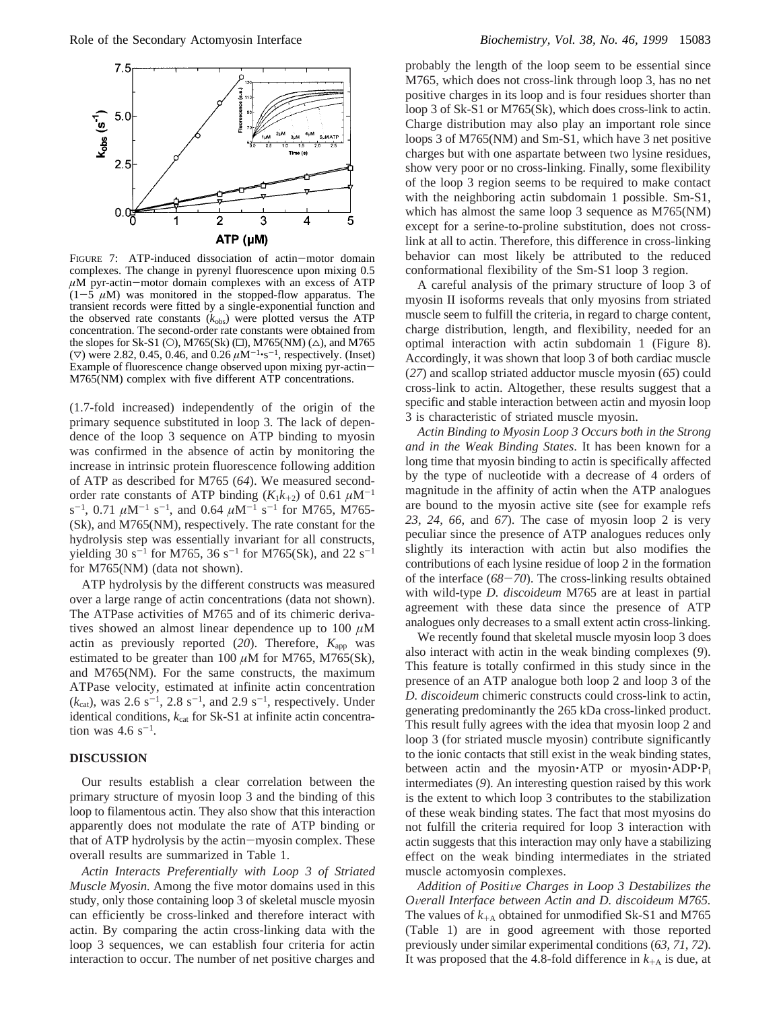

FIGURE 7: ATP-induced dissociation of actin-motor domain complexes. The change in pyrenyl fluorescence upon mixing 0.5 *<sup>µ</sup>*M pyr-actin-motor domain complexes with an excess of ATP  $(1-5 \mu M)$  was monitored in the stopped-flow apparatus. The transient records were fitted by a single-exponential function and the observed rate constants  $(k_{obs})$  were plotted versus the ATP concentration. The second-order rate constants were obtained from the slopes for Sk-S1 (O), M765(Sk) ( $\square$ ), M765(NM) ( $\triangle$ ), and M765  $(\nabla)$  were 2.82, 0.45, 0.46, and 0.26  $\mu$ M<sup>-1</sup>·s<sup>-1</sup>, respectively. (Inset) Example of fluorescence change observed upon mixing pyr-actin-M765(NM) complex with five different ATP concentrations.

(1.7-fold increased) independently of the origin of the primary sequence substituted in loop 3. The lack of dependence of the loop 3 sequence on ATP binding to myosin was confirmed in the absence of actin by monitoring the increase in intrinsic protein fluorescence following addition of ATP as described for M765 (*64*). We measured secondorder rate constants of ATP binding  $(K_1k_{+2})$  of 0.61  $\mu$ M<sup>-1</sup>  $s^{-1}$ , 0.71  $\mu$ M<sup>-1</sup> s<sup>-1</sup>, and 0.64  $\mu$ M<sup>-1</sup> s<sup>-1</sup> for M765, M765-(Sk), and M765(NM), respectively. The rate constant for the hydrolysis step was essentially invariant for all constructs, yielding 30 s<sup>-1</sup> for M765, 36 s<sup>-1</sup> for M765(Sk), and 22 s<sup>-1</sup> for M765(NM) (data not shown).

ATP hydrolysis by the different constructs was measured over a large range of actin concentrations (data not shown). The ATPase activities of M765 and of its chimeric derivatives showed an almost linear dependence up to 100 *µ*M actin as previously reported (20). Therefore,  $K_{app}$  was estimated to be greater than 100 *µ*M for M765, M765(Sk), and M765(NM). For the same constructs, the maximum ATPase velocity, estimated at infinite actin concentration  $(k_{cat})$ , was 2.6 s<sup>-1</sup>, 2.8 s<sup>-1</sup>, and 2.9 s<sup>-1</sup>, respectively. Under identical conditions,  $k_{\text{cat}}$  for Sk-S1 at infinite actin concentration was  $4.6 \text{ s}^{-1}$ .

## **DISCUSSION**

Our results establish a clear correlation between the primary structure of myosin loop 3 and the binding of this loop to filamentous actin. They also show that this interaction apparently does not modulate the rate of ATP binding or that of ATP hydrolysis by the actin-myosin complex. These overall results are summarized in Table 1.

*Actin Interacts Preferentially with Loop 3 of Striated Muscle Myosin.* Among the five motor domains used in this study, only those containing loop 3 of skeletal muscle myosin can efficiently be cross-linked and therefore interact with actin. By comparing the actin cross-linking data with the loop 3 sequences, we can establish four criteria for actin interaction to occur. The number of net positive charges and

probably the length of the loop seem to be essential since M765, which does not cross-link through loop 3, has no net positive charges in its loop and is four residues shorter than loop 3 of Sk-S1 or M765(Sk), which does cross-link to actin. Charge distribution may also play an important role since loops 3 of M765(NM) and Sm-S1, which have 3 net positive charges but with one aspartate between two lysine residues, show very poor or no cross-linking. Finally, some flexibility of the loop 3 region seems to be required to make contact with the neighboring actin subdomain 1 possible. Sm-S1, which has almost the same loop 3 sequence as M765(NM) except for a serine-to-proline substitution, does not crosslink at all to actin. Therefore, this difference in cross-linking behavior can most likely be attributed to the reduced conformational flexibility of the Sm-S1 loop 3 region.

A careful analysis of the primary structure of loop 3 of myosin II isoforms reveals that only myosins from striated muscle seem to fulfill the criteria, in regard to charge content, charge distribution, length, and flexibility, needed for an optimal interaction with actin subdomain 1 (Figure 8). Accordingly, it was shown that loop 3 of both cardiac muscle (*27*) and scallop striated adductor muscle myosin (*65*) could cross-link to actin. Altogether, these results suggest that a specific and stable interaction between actin and myosin loop 3 is characteristic of striated muscle myosin.

*Actin Binding to Myosin Loop 3 Occurs both in the Strong and in the Weak Binding States*. It has been known for a long time that myosin binding to actin is specifically affected by the type of nucleotide with a decrease of 4 orders of magnitude in the affinity of actin when the ATP analogues are bound to the myosin active site (see for example refs *23*, *24*, *66*, and *67*). The case of myosin loop 2 is very peculiar since the presence of ATP analogues reduces only slightly its interaction with actin but also modifies the contributions of each lysine residue of loop 2 in the formation of the interface (*68*-*70*). The cross-linking results obtained with wild-type *D. discoideum* M765 are at least in partial agreement with these data since the presence of ATP analogues only decreases to a small extent actin cross-linking.

We recently found that skeletal muscle myosin loop 3 does also interact with actin in the weak binding complexes (*9*). This feature is totally confirmed in this study since in the presence of an ATP analogue both loop 2 and loop 3 of the *D. discoideum* chimeric constructs could cross-link to actin, generating predominantly the 265 kDa cross-linked product. This result fully agrees with the idea that myosin loop 2 and loop 3 (for striated muscle myosin) contribute significantly to the ionic contacts that still exist in the weak binding states, between actin and the myosin $\cdot$ ATP or myosin $\cdot$ ADP $\cdot$ P<sub>i</sub> intermediates (*9*). An interesting question raised by this work is the extent to which loop 3 contributes to the stabilization of these weak binding states. The fact that most myosins do not fulfill the criteria required for loop 3 interaction with actin suggests that this interaction may only have a stabilizing effect on the weak binding intermediates in the striated muscle actomyosin complexes.

*Addition of Positi*V*e Charges in Loop 3 Destabilizes the <sup>O</sup>*V*erall Interface between Actin and D. discoideum M765.* The values of  $k_{+A}$  obtained for unmodified Sk-S1 and M765 (Table 1) are in good agreement with those reported previously under similar experimental conditions (*63*, *71*, *72*). It was proposed that the 4.8-fold difference in  $k_{+A}$  is due, at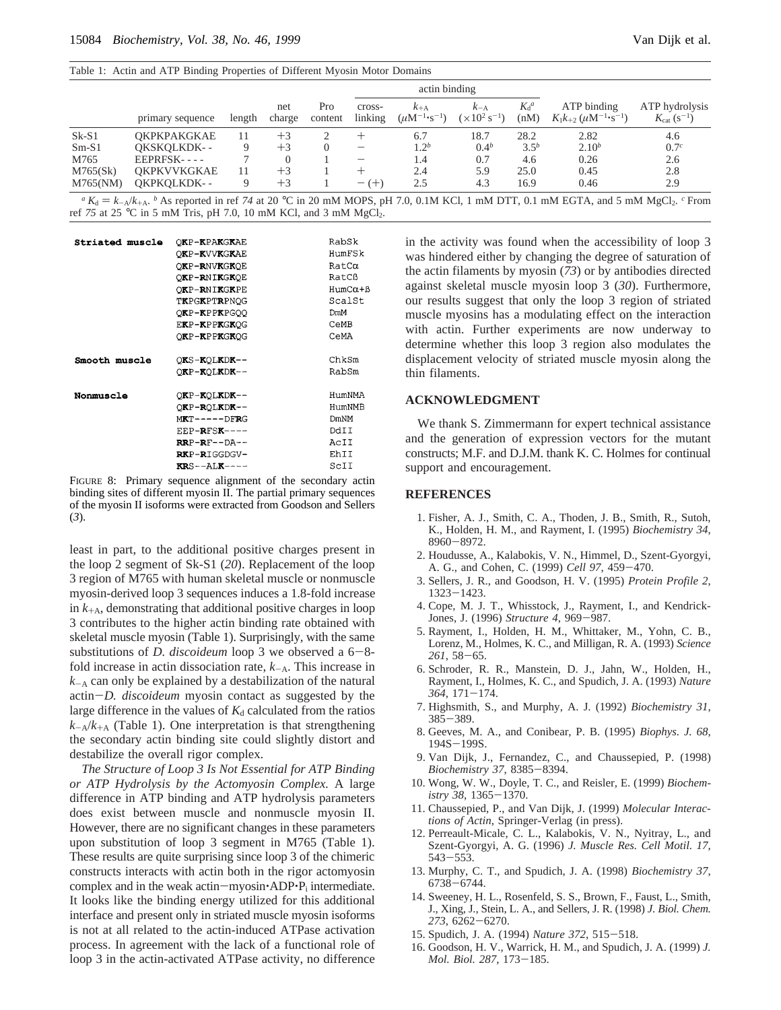|          |                    |        |               |                | actin binding            |                                         |                                            |                 |                                                                 |                                          |
|----------|--------------------|--------|---------------|----------------|--------------------------|-----------------------------------------|--------------------------------------------|-----------------|-----------------------------------------------------------------|------------------------------------------|
|          | primary sequence   | length | net<br>charge | Pro<br>content | cross-<br>linking        | $k_{+A}$<br>$(\mu M^{-1} \cdot s^{-1})$ | $k_{-A}$<br>$(\times 10^2 \text{ s}^{-1})$ | $K_d^a$<br>(nM) | ATP binding<br>$K_1k_{+2}$ (uM <sup>-1</sup> ·s <sup>-1</sup> ) | ATP hydrolysis<br>$K_{\rm cat} (s^{-1})$ |
| $Sk-S1$  | <b>OKPKPAKGKAE</b> | 11     | $+3$          |                |                          | 6.7                                     | 18.7                                       | 28.2            | 2.82                                                            | 4.6                                      |
| $Sm-S1$  | OKSKOLKDK--        |        | $+3$          |                |                          | 1.2 <sup>b</sup>                        | 0.4 <sup>b</sup>                           | $3.5^{b}$       | $2.10^{b}$                                                      | 0.7 <sup>c</sup>                         |
| M765     | $EEPRFSK--$        |        |               |                | $\overline{\phantom{0}}$ | 1.4                                     | 0.7                                        | 4.6             | 0.26                                                            | 2.6                                      |
| M765(Sk) | <b>OKPKVVKGKAE</b> | 11     | $+3$          |                |                          | 2.4                                     | 5.9                                        | 25.0            | 0.45                                                            | 2.8                                      |
| M765(NM) | OKPKOLKDK--        |        | $+3$          |                | $- (+)$                  | 2.5                                     | 4.3                                        | 16.9            | 0.46                                                            | 2.9                                      |

*a*  $K_d = k_A/k_{+A}$ . *b* As reported in ref 74 at 20 °C in 20 mM MOPS, pH 7.0, 0.1M KCl, 1 mM DTT, 0.1 mM EGTA, and 5 mM MgCl<sub>2</sub>. *c* From  $75$  at 25 °C in 5 mM Tris nH 7.0, 10 mM KCl and 3 mM MgCl<sub>2</sub>. ref 75 at 25 °C in 5 mM Tris, pH 7.0, 10 mM KCl, and 3 mM MgCl<sub>2</sub>.

| Striated muscle | OKP-KPAKGKAE                       | RabSk                |
|-----------------|------------------------------------|----------------------|
|                 | OKP-KVVKGKAE                       | HumFSk               |
|                 | OKP-RNVKGKOE                       | $RatC\alpha$         |
|                 | OKP-RNIKGKOE                       | RatCß                |
|                 | OKP-RNIKGKPE                       | $HumC\alpha + \beta$ |
|                 | TKPGKPTRPNOG                       | ScalSt               |
|                 | OKP-KPPKPGOO                       | DmM                  |
|                 | EKP-KPPKGKOG                       | CeMB                 |
|                 | OKP-KPPKGKOG                       | CeMA                 |
| Smooth muscle   | OKS-KOLKDK--                       | ChkSm                |
|                 | OKP-KOLKDK--                       | RabSm                |
| Nonmuscle       | OKP-KOLKDK--                       | HumNMA               |
|                 | OKP-ROLKDK--                       | HumNMB               |
|                 | $MRT---DFRG$                       | <b>DmNM</b>          |
|                 | $EEP-RESSK---$                     | DdII                 |
|                 | $R$ $R$ $P$ $-R$ $F$ $ D$ $A$ $ -$ | AcII                 |
|                 | RKP-RIGGDGV-                       | EhII                 |
|                 | $RRS - -ATR - - -$                 | ScII                 |

FIGURE 8: Primary sequence alignment of the secondary actin binding sites of different myosin II. The partial primary sequences of the myosin II isoforms were extracted from Goodson and Sellers (*3*).

least in part, to the additional positive charges present in the loop 2 segment of Sk-S1 (*20*). Replacement of the loop 3 region of M765 with human skeletal muscle or nonmuscle myosin-derived loop 3 sequences induces a 1.8-fold increase in  $k_{+A}$ , demonstrating that additional positive charges in loop 3 contributes to the higher actin binding rate obtained with skeletal muscle myosin (Table 1). Surprisingly, with the same substitutions of *D. discoideum* loop 3 we observed a 6–8fold increase in actin dissociation rate, *<sup>k</sup>*-A. This increase in  $k_{-A}$  can only be explained by a destabilization of the natural actin-*D. discoideum* myosin contact as suggested by the large difference in the values of  $K_d$  calculated from the ratios  $k_{A}/k_{A}$  (Table 1). One interpretation is that strengthening the secondary actin binding site could slightly distort and destabilize the overall rigor complex.

*The Structure of Loop 3 Is Not Essential for ATP Binding or ATP Hydrolysis by the Actomyosin Complex.* A large difference in ATP binding and ATP hydrolysis parameters does exist between muscle and nonmuscle myosin II. However, there are no significant changes in these parameters upon substitution of loop 3 segment in M765 (Table 1). These results are quite surprising since loop 3 of the chimeric constructs interacts with actin both in the rigor actomyosin complex and in the weak actin-myosin $\cdot$ ADP $\cdot$ P<sub>i</sub> intermediate. It looks like the binding energy utilized for this additional interface and present only in striated muscle myosin isoforms is not at all related to the actin-induced ATPase activation process. In agreement with the lack of a functional role of loop 3 in the actin-activated ATPase activity, no difference

in the activity was found when the accessibility of loop 3 was hindered either by changing the degree of saturation of the actin filaments by myosin (*73*) or by antibodies directed against skeletal muscle myosin loop 3 (*30*). Furthermore, our results suggest that only the loop 3 region of striated muscle myosins has a modulating effect on the interaction with actin. Further experiments are now underway to determine whether this loop 3 region also modulates the displacement velocity of striated muscle myosin along the thin filaments.

## **ACKNOWLEDGMENT**

We thank S. Zimmermann for expert technical assistance and the generation of expression vectors for the mutant constructs; M.F. and D.J.M. thank K. C. Holmes for continual support and encouragement.

#### **REFERENCES**

- 1. Fisher, A. J., Smith, C. A., Thoden, J. B., Smith, R., Sutoh, K., Holden, H. M., and Rayment, I. (1995) *Biochemistry 34*, <sup>8960</sup>-8972.
- 2. Houdusse, A., Kalabokis, V. N., Himmel, D., Szent-Gyorgyi, A. G., and Cohen, C. (1999) *Cell 97*, 459-470.
- 3. Sellers, J. R., and Goodson, H. V. (1995) *Protein Profile 2*, <sup>1323</sup>-1423.
- 4. Cope, M. J. T., Whisstock, J., Rayment, I., and Kendrick-Jones, J. (1996) *Structure 4*, 969-987.
- 5. Rayment, I., Holden, H. M., Whittaker, M., Yohn, C. B., Lorenz, M., Holmes, K. C., and Milligan, R. A. (1993) *Science <sup>261</sup>*, 58-65.
- 6. Schroder, R. R., Manstein, D. J., Jahn, W., Holden, H., Rayment, I., Holmes, K. C., and Spudich, J. A. (1993) *Nature <sup>364</sup>*, 171-174.
- 7. Highsmith, S., and Murphy, A. J. (1992) *Biochemistry 31*, <sup>385</sup>-389.
- 8. Geeves, M. A., and Conibear, P. B. (1995) *Biophys. J. 68*, 194S-199S.
- 9. Van Dijk, J., Fernandez, C., and Chaussepied, P. (1998) *Biochemistry 37*, 8385-8394.
- 10. Wong, W. W., Doyle, T. C., and Reisler, E. (1999) *Biochemistry 38*, 1365-1370.
- 11. Chaussepied, P., and Van Dijk, J. (1999) *Molecular Interactions of Actin*, Springer-Verlag (in press).
- 12. Perreault-Micale, C. L., Kalabokis, V. N., Nyitray, L., and Szent-Gyorgyi, A. G. (1996) *J. Muscle Res. Cell Motil. 17*, <sup>543</sup>-553.
- 13. Murphy, C. T., and Spudich, J. A. (1998) *Biochemistry 37*, <sup>6738</sup>-6744.
- 14. Sweeney, H. L., Rosenfeld, S. S., Brown, F., Faust, L., Smith, J., Xing, J., Stein, L. A., and Sellers, J. R. (1998) *J. Biol. Chem. <sup>273</sup>*, 6262-6270.
- 15. Spudich, J. A. (1994) *Nature 372*, 515-518.
- 16. Goodson, H. V., Warrick, H. M., and Spudich, J. A. (1999) *J. Mol. Biol. 287*, 173-185.